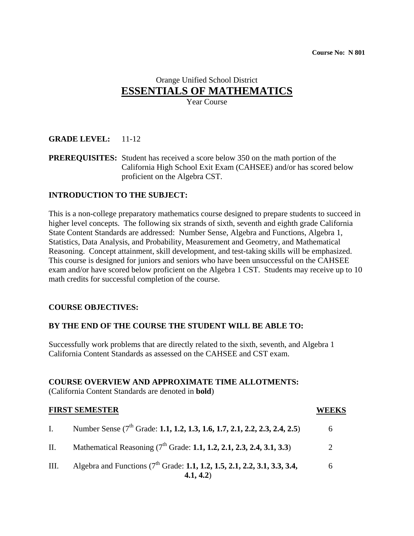# Orange Unified School District **ESSENTIALS OF MATHEMATICS**

Year Course

## **GRADE LEVEL:** 11-12

**PREREQUISITES:** Student has received a score below 350 on the math portion of the California High School Exit Exam (CAHSEE) and/or has scored below proficient on the Algebra CST.

## **INTRODUCTION TO THE SUBJECT:**

This is a non-college preparatory mathematics course designed to prepare students to succeed in higher level concepts. The following six strands of sixth, seventh and eighth grade California State Content Standards are addressed: Number Sense, Algebra and Functions, Algebra 1, Statistics, Data Analysis, and Probability, Measurement and Geometry, and Mathematical Reasoning. Concept attainment, skill development, and test-taking skills will be emphasized. This course is designed for juniors and seniors who have been unsuccessful on the CAHSEE exam and/or have scored below proficient on the Algebra 1 CST. Students may receive up to 10 math credits for successful completion of the course.

#### **COURSE OBJECTIVES:**

#### **BY THE END OF THE COURSE THE STUDENT WILL BE ABLE TO:**

Successfully work problems that are directly related to the sixth, seventh, and Algebra 1 California Content Standards as assessed on the CAHSEE and CST exam.

#### **COURSE OVERVIEW AND APPROXIMATE TIME ALLOTMENTS:**

(California Content Standards are denoted in **bold**)

|                | <b>FIRST SEMESTER</b>                                                                             | EEKS |
|----------------|---------------------------------------------------------------------------------------------------|------|
| $\mathbf{I}$ . | Number Sense (7 <sup>th</sup> Grade: 1.1, 1.2, 1.3, 1.6, 1.7, 2.1, 2.2, 2.3, 2.4, 2.5)            | 6    |
| П.             | Mathematical Reasoning (7 <sup>th</sup> Grade: 1.1, 1.2, 2.1, 2.3, 2.4, 3.1, 3.3)                 |      |
| III.           | Algebra and Functions (7 <sup>th</sup> Grade: 1.1, 1.2, 1.5, 2.1, 2.2, 3.1, 3.3, 3.4,<br>4.1, 4.2 | 6    |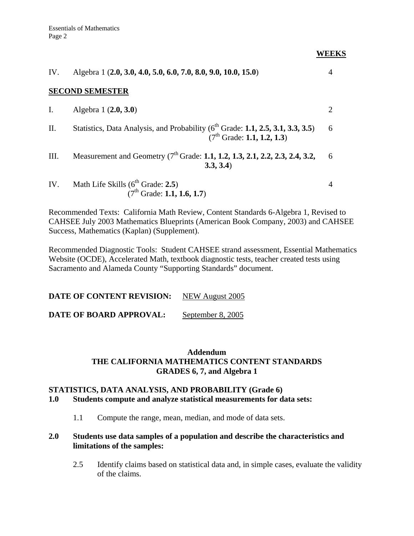IV. Algebra 1 (**2.0, 3.0, 4.0, 5.0, 6.0, 7.0, 8.0, 9.0, 10.0, 15.0**) 4 **SECOND SEMESTER** I. Algebra 1 (**2.0, 3.0**) 2 II. Statistics, Data Analysis, and Probability  $(6^{th}$  Grade: **1.1, 2.5, 3.1, 3.3, 3.5**) **6**  (7th Grade: **1.1, 1.2, 1.3**) III. Measurement and Geometry (7<sup>th</sup> Grade: **1.1, 1.2, 1.3, 2.1, 2.2, 2.3, 2.4, 3.2,** 6 **3.3, 3.4**) IV. Math Life Skills  $(6^{th}$  Grade: **2.5**) 4 (7th Grade: **1.1, 1.6, 1.7**)

Recommended Texts: California Math Review, Content Standards 6-Algebra 1, Revised to CAHSEE July 2003 Mathematics Blueprints (American Book Company, 2003) and CAHSEE Success, Mathematics (Kaplan) (Supplement).

Recommended Diagnostic Tools: Student CAHSEE strand assessment, Essential Mathematics Website (OCDE), Accelerated Math, textbook diagnostic tests, teacher created tests using Sacramento and Alameda County "Supporting Standards" document.

**DATE OF CONTENT REVISION:** NEW August 2005

**DATE OF BOARD APPROVAL:** September 8, 2005

## **Addendum THE CALIFORNIA MATHEMATICS CONTENT STANDARDS GRADES 6, 7, and Algebra 1**

## **STATISTICS, DATA ANALYSIS, AND PROBABILITY (Grade 6)**

## **1.0 Students compute and analyze statistical measurements for data sets:**

1.1 Compute the range, mean, median, and mode of data sets.

## **2.0 Students use data samples of a population and describe the characteristics and limitations of the samples:**

2.5 Identify claims based on statistical data and, in simple cases, evaluate the validity of the claims.

**WEEKS**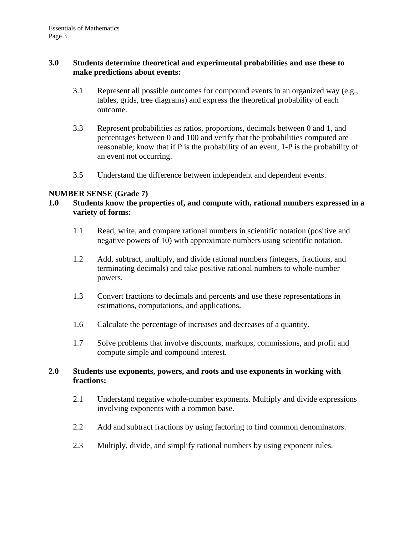## **3.0 Students determine theoretical and experimental probabilities and use these to make predictions about events:**

- 3.1 Represent all possible outcomes for compound events in an organized way (e.g., tables, grids, tree diagrams) and express the theoretical probability of each outcome.
- 3.3 Represent probabilities as ratios, proportions, decimals between 0 and 1, and percentages between 0 and 100 and verify that the probabilities computed are reasonable; know that if P is the probability of an event, 1-P is the probability of an event not occurring.
- 3.5 Understand the difference between independent and dependent events.

## **NUMBER SENSE (Grade 7)**

## **1.0 Students know the properties of, and compute with, rational numbers expressed in a variety of forms:**

- 1.1 Read, write, and compare rational numbers in scientific notation (positive and negative powers of 10) with approximate numbers using scientific notation.
- 1.2 Add, subtract, multiply, and divide rational numbers (integers, fractions, and terminating decimals) and take positive rational numbers to whole-number powers.
- 1.3 Convert fractions to decimals and percents and use these representations in estimations, computations, and applications.
- 1.6 Calculate the percentage of increases and decreases of a quantity.
- 1.7 Solve problems that involve discounts, markups, commissions, and profit and compute simple and compound interest.

## **2.0 Students use exponents, powers, and roots and use exponents in working with fractions:**

- 2.1 Understand negative whole-number exponents. Multiply and divide expressions involving exponents with a common base.
- 2.2 Add and subtract fractions by using factoring to find common denominators.
- 2.3 Multiply, divide, and simplify rational numbers by using exponent rules.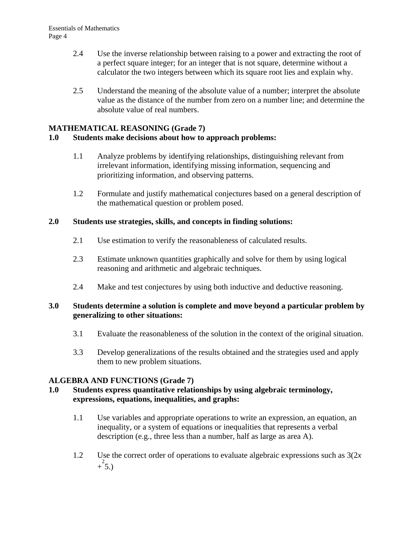- 2.4 Use the inverse relationship between raising to a power and extracting the root of a perfect square integer; for an integer that is not square, determine without a calculator the two integers between which its square root lies and explain why.
- 2.5 Understand the meaning of the absolute value of a number; interpret the absolute value as the distance of the number from zero on a number line; and determine the absolute value of real numbers.

## **MATHEMATICAL REASONING (Grade 7)**

## **1.0 Students make decisions about how to approach problems:**

- 1.1 Analyze problems by identifying relationships, distinguishing relevant from irrelevant information, identifying missing information, sequencing and prioritizing information, and observing patterns.
- 1.2 Formulate and justify mathematical conjectures based on a general description of the mathematical question or problem posed.

## **2.0 Students use strategies, skills, and concepts in finding solutions:**

- 2.1 Use estimation to verify the reasonableness of calculated results.
- 2.3 Estimate unknown quantities graphically and solve for them by using logical reasoning and arithmetic and algebraic techniques.
- 2.4 Make and test conjectures by using both inductive and deductive reasoning.

## **3.0 Students determine a solution is complete and move beyond a particular problem by generalizing to other situations:**

- 3.1 Evaluate the reasonableness of the solution in the context of the original situation.
- 3.3 Develop generalizations of the results obtained and the strategies used and apply them to new problem situations.

## **ALGEBRA AND FUNCTIONS (Grade 7)**

## **1.0 Students express quantitative relationships by using algebraic terminology, expressions, equations, inequalities, and graphs:**

- 1.1 Use variables and appropriate operations to write an expression, an equation, an inequality, or a system of equations or inequalities that represents a verbal description (e.g., three less than a number, half as large as area A).
- 1.2 Use the correct order of operations to evaluate algebraic expressions such as 3(2*x*   $+\overset{2}{5}$ .)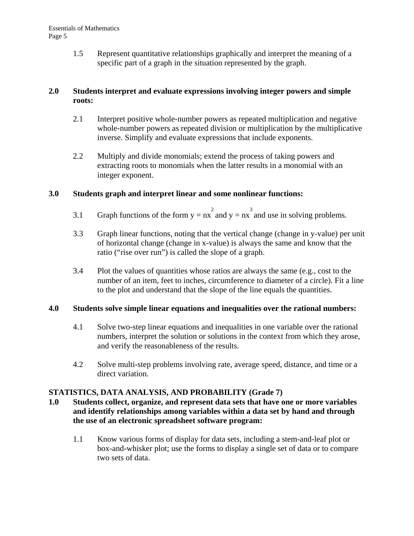1.5 Represent quantitative relationships graphically and interpret the meaning of a specific part of a graph in the situation represented by the graph.

## **2.0 Students interpret and evaluate expressions involving integer powers and simple roots:**

- 2.1 Interpret positive whole-number powers as repeated multiplication and negative whole-number powers as repeated division or multiplication by the multiplicative inverse. Simplify and evaluate expressions that include exponents.
- 2.2 Multiply and divide monomials; extend the process of taking powers and extracting roots to monomials when the latter results in a monomial with an integer exponent.

## **3.0 Students graph and interpret linear and some nonlinear functions:**

- 3.1 Graph functions of the form  $y = nx^2$  and  $y = nx^3$  and use in solving problems.
- 3.3 Graph linear functions, noting that the vertical change (change in y-value) per unit of horizontal change (change in x-value) is always the same and know that the ratio ("rise over run") is called the slope of a graph.
- 3.4 Plot the values of quantities whose ratios are always the same (e.g., cost to the number of an item, feet to inches, circumference to diameter of a circle). Fit a line to the plot and understand that the slope of the line equals the quantities.

## **4.0 Students solve simple linear equations and inequalities over the rational numbers:**

- 4.1 Solve two-step linear equations and inequalities in one variable over the rational numbers, interpret the solution or solutions in the context from which they arose, and verify the reasonableness of the results.
- 4.2 Solve multi-step problems involving rate, average speed, distance, and time or a direct variation.

## **STATISTICS, DATA ANALYSIS, AND PROBABILITY (Grade 7)**

- **1.0 Students collect, organize, and represent data sets that have one or more variables and identify relationships among variables within a data set by hand and through the use of an electronic spreadsheet software program:** 
	- 1.1 Know various forms of display for data sets, including a stem-and-leaf plot or box-and-whisker plot; use the forms to display a single set of data or to compare two sets of data.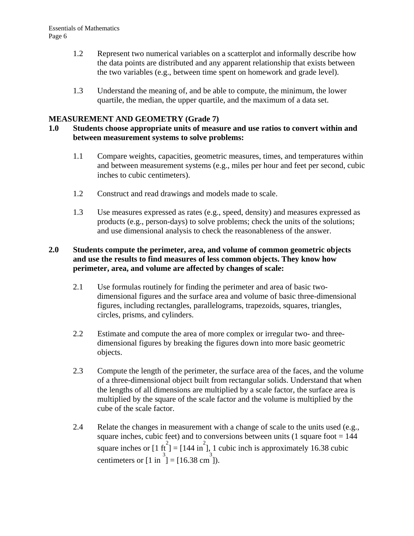- 1.2 Represent two numerical variables on a scatterplot and informally describe how the data points are distributed and any apparent relationship that exists between the two variables (e.g., between time spent on homework and grade level).
- 1.3 Understand the meaning of, and be able to compute, the minimum, the lower quartile, the median, the upper quartile, and the maximum of a data set.

## **MEASUREMENT AND GEOMETRY (Grade 7)**

## **1.0 Students choose appropriate units of measure and use ratios to convert within and between measurement systems to solve problems:**

- 1.1 Compare weights, capacities, geometric measures, times, and temperatures within and between measurement systems (e.g., miles per hour and feet per second, cubic inches to cubic centimeters).
- 1.2 Construct and read drawings and models made to scale.
- 1.3 Use measures expressed as rates (e.g., speed, density) and measures expressed as products (e.g., person-days) to solve problems; check the units of the solutions; and use dimensional analysis to check the reasonableness of the answer.

## **2.0 Students compute the perimeter, area, and volume of common geometric objects and use the results to find measures of less common objects. They know how perimeter, area, and volume are affected by changes of scale:**

- 2.1 Use formulas routinely for finding the perimeter and area of basic twodimensional figures and the surface area and volume of basic three-dimensional figures, including rectangles, parallelograms, trapezoids, squares, triangles, circles, prisms, and cylinders.
- 2.2 Estimate and compute the area of more complex or irregular two- and threedimensional figures by breaking the figures down into more basic geometric objects.
- 2.3 Compute the length of the perimeter, the surface area of the faces, and the volume of a three-dimensional object built from rectangular solids. Understand that when the lengths of all dimensions are multiplied by a scale factor, the surface area is multiplied by the square of the scale factor and the volume is multiplied by the cube of the scale factor.
- 2.4 Relate the changes in measurement with a change of scale to the units used (e.g., square inches, cubic feet) and to conversions between units (1 square foot =  $144$ ) square inches or  $[1 \text{ ft}^2] = [144 \text{ in}^2]$ , 1 cubic inch is approximately 16.38 cubic centimeters or  $[1 \text{ in } ^{3}]=[16.38 \text{ cm } ^{3}]).$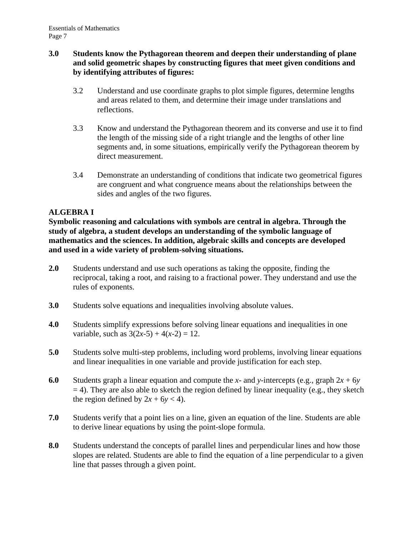## **3.0 Students know the Pythagorean theorem and deepen their understanding of plane and solid geometric shapes by constructing figures that meet given conditions and by identifying attributes of figures:**

- 3.2 Understand and use coordinate graphs to plot simple figures, determine lengths and areas related to them, and determine their image under translations and reflections.
- 3.3 Know and understand the Pythagorean theorem and its converse and use it to find the length of the missing side of a right triangle and the lengths of other line segments and, in some situations, empirically verify the Pythagorean theorem by direct measurement.
- 3.4 Demonstrate an understanding of conditions that indicate two geometrical figures are congruent and what congruence means about the relationships between the sides and angles of the two figures.

## **ALGEBRA I**

**Symbolic reasoning and calculations with symbols are central in algebra. Through the study of algebra, a student develops an understanding of the symbolic language of mathematics and the sciences. In addition, algebraic skills and concepts are developed and used in a wide variety of problem-solving situations.** 

- **2.0** Students understand and use such operations as taking the opposite, finding the reciprocal, taking a root, and raising to a fractional power. They understand and use the rules of exponents.
- **3.0** Students solve equations and inequalities involving absolute values.
- **4.0** Students simplify expressions before solving linear equations and inequalities in one variable, such as  $3(2x-5) + 4(x-2) = 12$ .
- **5.0** Students solve multi-step problems, including word problems, involving linear equations and linear inequalities in one variable and provide justification for each step.
- **6.0** Students graph a linear equation and compute the *x* and *y*-intercepts (e.g., graph  $2x + 6y$  $= 4$ ). They are also able to sketch the region defined by linear inequality (e.g., they sketch the region defined by  $2x + 6y < 4$ ).
- **7.0** Students verify that a point lies on a line, given an equation of the line. Students are able to derive linear equations by using the point-slope formula.
- **8.0** Students understand the concepts of parallel lines and perpendicular lines and how those slopes are related. Students are able to find the equation of a line perpendicular to a given line that passes through a given point.